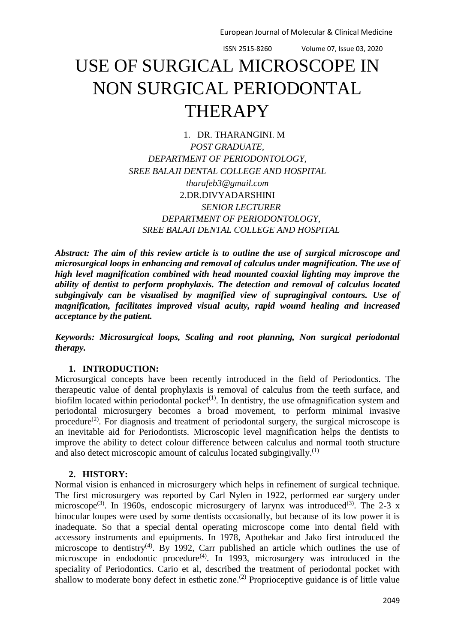European Journal of Molecular & Clinical Medicine

ISSN 2515-8260 Volume 07, Issue 03, 2020

# USE OF SURGICAL MICROSCOPE IN NON SURGICAL PERIODONTAL THERAPY

1. DR. THARANGINI. M *POST GRADUATE, DEPARTMENT OF PERIODONTOLOGY, SREE BALAJI DENTAL COLLEGE AND HOSPITAL [tharafeb3@gmail.com](mailto:tharafeb3@gmail.com)* 2.DR.DIVYADARSHINI *SENIOR LECTURER DEPARTMENT OF PERIODONTOLOGY, SREE BALAJI DENTAL COLLEGE AND HOSPITAL*

*Abstract: The aim of this review article is to outline the use of surgical microscope and microsurgical loops in enhancing and removal of calculus under magnification. The use of high level magnification combined with head mounted coaxial lighting may improve the ability of dentist to perform prophylaxis. The detection and removal of calculus located subgingivaly can be visualised by magnified view of supragingival contours. Use of magnification, facilitates improved visual acuity, rapid wound healing and increased acceptance by the patient.*

*Keywords: Microsurgical loops, Scaling and root planning, Non surgical periodontal therapy.*

### **1. INTRODUCTION:**

Microsurgical concepts have been recently introduced in the field of Periodontics. The therapeutic value of dental prophylaxis is removal of calculus from the teeth surface, and biofilm located within periodontal pocket<sup> $(1)$ </sup>. In dentistry, the use of magnification system and periodontal microsurgery becomes a broad movement, to perform minimal invasive procedure<sup> $(2)$ </sup>. For diagnosis and treatment of periodontal surgery, the surgical microscope is an inevitable aid for Periodontists. Microscopic level magnification helps the dentists to improve the ability to detect colour difference between calculus and normal tooth structure and also detect microscopic amount of calculus located subgingivally.(1)

#### **2. HISTORY:**

Normal vision is enhanced in microsurgery which helps in refinement of surgical technique. The first microsurgery was reported by Carl Nylen in 1922, performed ear surgery under microscope<sup>(3)</sup>. In 1960s, endoscopic microsurgery of larynx was introduced<sup>(3)</sup>. The 2-3 x binocular loupes were used by some dentists occasionally, but because of its low power it is inadequate. So that a special dental operating microscope come into dental field with accessory instruments and epuipments. In 1978, Apothekar and Jako first introduced the microscope to dentistry<sup>(4)</sup>. By 1992, Carr published an article which outlines the use of microscope in endodontic procedure<sup> $(4)$ </sup>. In 1993, microsurgery was introduced in the speciality of Periodontics. Cario et al, described the treatment of periodontal pocket with shallow to moderate bony defect in esthetic zone.<sup> $(2)$ </sup> Proprioceptive guidance is of little value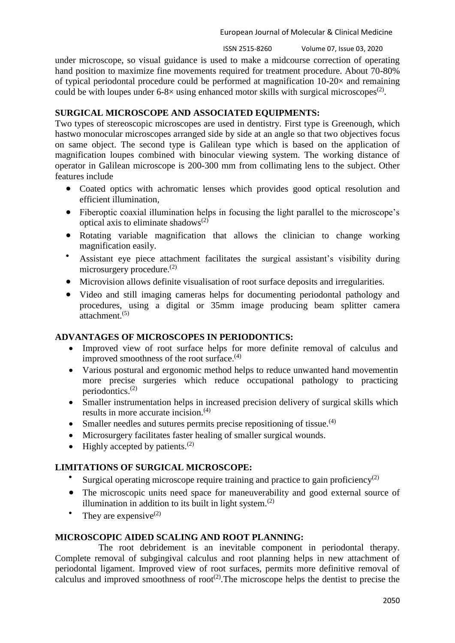#### European Journal of Molecular & Clinical Medicine

ISSN 2515-8260 Volume 07, Issue 03, 2020

under microscope, so visual guidance is used to make a midcourse correction of operating hand position to maximize fine movements required for treatment procedure. About 70-80% of typical periodontal procedure could be performed at magnification  $10{\text -}20\times$  and remaining could be with loupes under  $6-8\times$  using enhanced motor skills with surgical microscopes<sup>(2)</sup>.

## **SURGICAL MICROSCOPE AND ASSOCIATED EQUIPMENTS:**

Two types of stereoscopic microscopes are used in dentistry. First type is Greenough, which hastwo monocular microscopes arranged side by side at an angle so that two objectives focus on same object. The second type is Galilean type which is based on the application of magnification loupes combined with binocular viewing system. The working distance of operator in Galilean microscope is 200-300 mm from collimating lens to the subject. Other features include

- Coated optics with achromatic lenses which provides good optical resolution and efficient illumination,
- Fiberoptic coaxial illumination helps in focusing the light parallel to the microscope's optical axis to eliminate shadows $^{(2)}$
- Rotating variable magnification that allows the clinician to change working magnification easily.
- Assistant eye piece attachment facilitates the surgical assistant's visibility during microsurgery procedure. $(2)$
- Microvision allows definite visualisation of root surface deposits and irregularities.
- Video and still imaging cameras helps for documenting periodontal pathology and procedures, using a digital or 35mm image producing beam splitter camera  $\int$ attachment.<sup>(5)</sup>

### **ADVANTAGES OF MICROSCOPES IN PERIODONTICS:**

- Improved view of root surface helps for more definite removal of calculus and improved smoothness of the root surface.<sup>(4)</sup>
- Various postural and ergonomic method helps to reduce unwanted hand movementin more precise surgeries which reduce occupational pathology to practicing periodontics.(2)
- Smaller instrumentation helps in increased precision delivery of surgical skills which results in more accurate incision.<sup>(4)</sup>
- Smaller needles and sutures permits precise repositioning of tissue. $(4)$
- Microsurgery facilitates faster healing of smaller surgical wounds.
- $\bullet$  Highly accepted by patients.<sup>(2)</sup>

# **LIMITATIONS OF SURGICAL MICROSCOPE:**

- $\bullet$ Surgical operating microscope require training and practice to gain proficiency<sup>(2)</sup>
- The microscopic units need space for maneuverability and good external source of illumination in addition to its built in light system. $(2)$
- They are expensive $^{(2)}$

### **MICROSCOPIC AIDED SCALING AND ROOT PLANNING:**

 The root debridement is an inevitable component in periodontal therapy. Complete removal of subgingival calculus and root planning helps in new attachment of periodontal ligament. Improved view of root surfaces, permits more definitive removal of calculus and improved smoothness of root<sup> $(2)$ </sup>. The microscope helps the dentist to precise the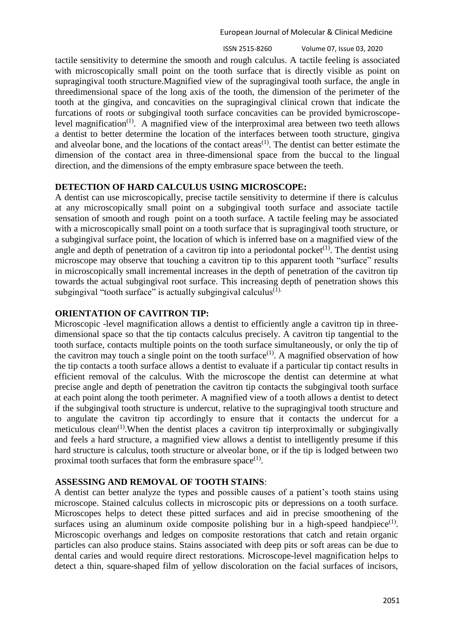ISSN 2515-8260 Volume 07, Issue 03, 2020

tactile sensitivity to determine the smooth and rough calculus. A tactile feeling is associated with microscopically small point on the tooth surface that is directly visible as point on supragingival tooth structure.Magnified view of the supragingival tooth surface, the angle in threedimensional space of the long axis of the tooth, the dimension of the perimeter of the tooth at the gingiva, and concavities on the supragingival clinical crown that indicate the furcations of roots or subgingival tooth surface concavities can be provided bymicroscopelevel magnification<sup>(1)</sup>. A magnified view of the interproximal area between two teeth allows a dentist to better determine the location of the interfaces between tooth structure, gingiva and alveolar bone, and the locations of the contact areas<sup> $(1)$ </sup>. The dentist can better estimate the dimension of the contact area in three-dimensional space from the buccal to the lingual direction, and the dimensions of the empty embrasure space between the teeth.

#### **DETECTION OF HARD CALCULUS USING MICROSCOPE:**

A dentist can use microscopically, precise tactile sensitivity to determine if there is calculus at any microscopically small point on a subgingival tooth surface and associate tactile sensation of smooth and rough point on a tooth surface. A tactile feeling may be associated with a microscopically small point on a tooth surface that is supragingival tooth structure, or a subgingival surface point, the location of which is inferred base on a magnified view of the angle and depth of penetration of a cavitron tip into a periodontal pocket<sup> $(1)$ </sup>. The dentist using microscope may observe that touching a cavitron tip to this apparent tooth "surface" results in microscopically small incremental increases in the depth of penetration of the cavitron tip towards the actual subgingival root surface. This increasing depth of penetration shows this subgingival "tooth surface" is actually subgingival calculus<sup>(1).</sup>

#### **ORIENTATION OF CAVITRON TIP:**

Microscopic -level magnification allows a dentist to efficiently angle a cavitron tip in threedimensional space so that the tip contacts calculus precisely. A cavitron tip tangential to the tooth surface, contacts multiple points on the tooth surface simultaneously, or only the tip of the cavitron may touch a single point on the tooth surface<sup> $(1)$ </sup>. A magnified observation of how the tip contacts a tooth surface allows a dentist to evaluate if a particular tip contact results in efficient removal of the calculus. With the microscope the dentist can determine at what precise angle and depth of penetration the cavitron tip contacts the subgingival tooth surface at each point along the tooth perimeter. A magnified view of a tooth allows a dentist to detect if the subgingival tooth structure is undercut, relative to the supragingival tooth structure and to angulate the cavitron tip accordingly to ensure that it contacts the undercut for a meticulous clean<sup>(1)</sup>. When the dentist places a cavitron tip interproximally or subgingivally and feels a hard structure, a magnified view allows a dentist to intelligently presume if this hard structure is calculus, tooth structure or alveolar bone, or if the tip is lodged between two proximal tooth surfaces that form the embrasure space $^{(1)}$ .

### **ASSESSING AND REMOVAL OF TOOTH STAINS**:

A dentist can better analyze the types and possible causes of a patient's tooth stains using microscope. Stained calculus collects in microscopic pits or depressions on a tooth surface. Microscopes helps to detect these pitted surfaces and aid in precise smoothening of the surfaces using an aluminum oxide composite polishing bur in a high-speed handpiece $(1)$ . Microscopic overhangs and ledges on composite restorations that catch and retain organic particles can also produce stains. Stains associated with deep pits or soft areas can be due to dental caries and would require direct restorations. Microscope-level magnification helps to detect a thin, square-shaped film of yellow discoloration on the facial surfaces of incisors,